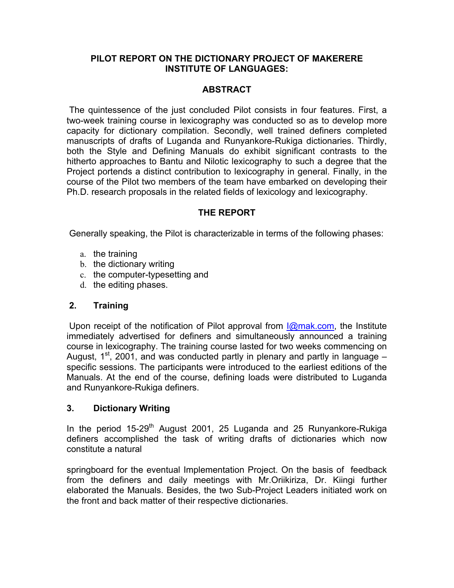#### **PILOT REPORT ON THE DICTIONARY PROJECT OF MAKERERE INSTITUTE OF LANGUAGES:**

## **ABSTRACT**

The quintessence of the just concluded Pilot consists in four features. First, a two-week training course in lexicography was conducted so as to develop more capacity for dictionary compilation. Secondly, well trained definers completed manuscripts of drafts of Luganda and Runyankore-Rukiga dictionaries. Thirdly, both the Style and Defining Manuals do exhibit significant contrasts to the hitherto approaches to Bantu and Nilotic lexicography to such a degree that the Project portends a distinct contribution to lexicography in general. Finally, in the course of the Pilot two members of the team have embarked on developing their Ph.D. research proposals in the related fields of lexicology and lexicography.

## **THE REPORT**

Generally speaking, the Pilot is characterizable in terms of the following phases:

- a. the training
- b. the dictionary writing
- c. the computer-typesetting and
- d. the editing phases.

### **2. Training**

Upon receipt of the notification of Pilot approval from  $\mathcal{Q}_{\text{max}}$  com, the Institute immediately advertised for definers and simultaneously announced a training course in lexicography. The training course lasted for two weeks commencing on August,  $1^{st}$ , 2001, and was conducted partly in plenary and partly in language – specific sessions. The participants were introduced to the earliest editions of the Manuals. At the end of the course, defining loads were distributed to Luganda and Runyankore-Rukiga definers.

### **3. Dictionary Writing**

In the period  $15-29<sup>th</sup>$  August 2001, 25 Luganda and 25 Runyankore-Rukiga definers accomplished the task of writing drafts of dictionaries which now constitute a natural

springboard for the eventual Implementation Project. On the basis of feedback from the definers and daily meetings with Mr.Oriikiriza, Dr. Kiingi further elaborated the Manuals. Besides, the two Sub-Project Leaders initiated work on the front and back matter of their respective dictionaries.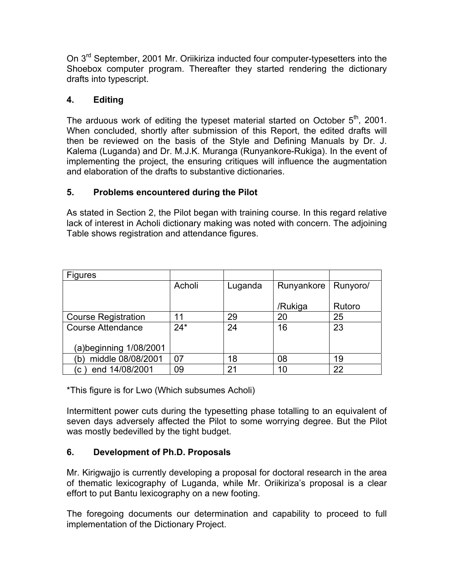On 3<sup>rd</sup> September, 2001 Mr. Oriikiriza inducted four computer-typesetters into the Shoebox computer program. Thereafter they started rendering the dictionary drafts into typescript.

# **4. Editing**

The arduous work of editing the typeset material started on October  $5<sup>th</sup>$ , 2001. When concluded, shortly after submission of this Report, the edited drafts will then be reviewed on the basis of the Style and Defining Manuals by Dr. J. Kalema (Luganda) and Dr. M.J.K. Muranga (Runyankore-Rukiga). In the event of implementing the project, the ensuring critiques will influence the augmentation and elaboration of the drafts to substantive dictionaries.

## **5. Problems encountered during the Pilot**

As stated in Section 2, the Pilot began with training course. In this regard relative lack of interest in Acholi dictionary making was noted with concern. The adjoining Table shows registration and attendance figures.

| <b>Figures</b>             |        |         |            |          |
|----------------------------|--------|---------|------------|----------|
|                            | Acholi | Luganda | Runyankore | Runyoro/ |
|                            |        |         |            |          |
|                            |        |         | /Rukiga    | Rutoro   |
| <b>Course Registration</b> | 11     | 29      | 20         | 25       |
| <b>Course Attendance</b>   | $24*$  | 24      | 16         | 23       |
|                            |        |         |            |          |
| (a)beginning 1/08/2001     |        |         |            |          |
| middle 08/08/2001<br>(b    | 07     | 18      | 08         | 19       |
| end 14/08/2001<br>(C)      | 09     | 21      | 10         | 22       |

\*This figure is for Lwo (Which subsumes Acholi)

Intermittent power cuts during the typesetting phase totalling to an equivalent of seven days adversely affected the Pilot to some worrying degree. But the Pilot was mostly bedevilled by the tight budget.

# **6. Development of Ph.D. Proposals**

Mr. Kirigwajjo is currently developing a proposal for doctoral research in the area of thematic lexicography of Luganda, while Mr. Oriikiriza's proposal is a clear effort to put Bantu lexicography on a new footing.

The foregoing documents our determination and capability to proceed to full implementation of the Dictionary Project.